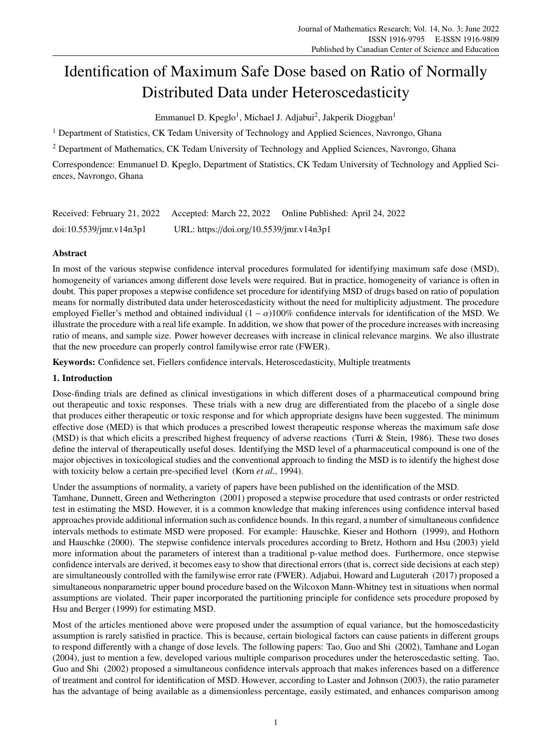# Identification of Maximum Safe Dose based on Ratio of Normally Distributed Data under Heteroscedasticity

Emmanuel D. Kpeglo<sup>1</sup>, Michael J. Adjabui<sup>2</sup>, Jakperik Dioggban<sup>1</sup>

<sup>1</sup> Department of Statistics, CK Tedam University of Technology and Applied Sciences, Navrongo, Ghana

<sup>2</sup> Department of Mathematics, CK Tedam University of Technology and Applied Sciences, Navrongo, Ghana

Correspondence: Emmanuel D. Kpeglo, Department of Statistics, CK Tedam University of Technology and Applied Sciences, Navrongo, Ghana

| Received: February 21, 2022 Accepted: March 22, 2022 |                                          | Online Published: April 24, 2022 |  |
|------------------------------------------------------|------------------------------------------|----------------------------------|--|
| $doi:10.5539/$ jmr.v $14n3p1$                        | URL: https://doi.org/10.5539/jmr.v14n3p1 |                                  |  |

## Abstract

In most of the various stepwise confidence interval procedures formulated for identifying maximum safe dose (MSD), homogeneity of variances among different dose levels were required. But in practice, homogeneity of variance is often in doubt. This paper proposes a stepwise confidence set procedure for identifying MSD of drugs based on ratio of population means for normally distributed data under heteroscedasticity without the need for multiplicity adjustment. The procedure employed Fieller's method and obtained individual ( $1 - \alpha$ )100% confidence intervals for identification of the MSD. We illustrate the procedure with a real life example. In addition, we show that power of the procedure increases with increasing ratio of means, and sample size. Power however decreases with increase in clinical relevance margins. We also illustrate that the new procedure can properly control familywise error rate (FWER).

Keywords: Confidence set, Fiellers confidence intervals, Heteroscedasticity, Multiple treatments

# 1. Introduction

Dose-finding trials are defined as clinical investigations in which different doses of a pharmaceutical compound bring out therapeutic and toxic responses. These trials with a new drug are differentiated from the placebo of a single dose that produces either therapeutic or toxic response and for which appropriate designs have been suggested. The minimum effective dose (MED) is that which produces a prescribed lowest therapeutic response whereas the maximum safe dose (MSD) is that which elicits a prescribed highest frequency of adverse reactions (Turri & Stein, 1986). These two doses define the interval of therapeutically useful doses. Identifying the MSD level of a pharmaceutical compound is one of the major objectives in toxicological studies and the conventional approach to finding the MSD is to identify the highest dose with toxicity below a certain pre-specified level (Korn *et al.*, 1994).

Under the assumptions of normality, a variety of papers have been published on the identification of the MSD.

Tamhane, Dunnett, Green and Wetherington (2001) proposed a stepwise procedure that used contrasts or order restricted test in estimating the MSD. However, it is a common knowledge that making inferences using confidence interval based approaches provide additional information such as confidence bounds. In this regard, a number of simultaneous confidence intervals methods to estimate MSD were proposed. For example: Hauschke, Kieser and Hothorn (1999), and Hothorn and Hauschke (2000). The stepwise confidence intervals procedures according to Bretz, Hothorn and Hsu (2003) yield more information about the parameters of interest than a traditional p-value method does. Furthermore, once stepwise confidence intervals are derived, it becomes easy to show that directional errors (that is, correct side decisions at each step) are simultaneously controlled with the familywise error rate (FWER). Adjabui, Howard and Luguterah (2017) proposed a simultaneous nonparametric upper bound procedure based on the Wilcoxon Mann-Whitney test in situations when normal assumptions are violated. Their paper incorporated the partitioning principle for confidence sets procedure proposed by Hsu and Berger (1999) for estimating MSD.

Most of the articles mentioned above were proposed under the assumption of equal variance, but the homoscedasticity assumption is rarely satisfied in practice. This is because, certain biological factors can cause patients in different groups to respond differently with a change of dose levels. The following papers: Tao, Guo and Shi (2002), Tamhane and Logan (2004), just to mention a few, developed various multiple comparison procedures under the heteroscedastic setting. Tao, Guo and Shi (2002) proposed a simultaneous confidence intervals approach that makes inferences based on a difference of treatment and control for identification of MSD. However, according to Laster and Johnson (2003), the ratio parameter has the advantage of being available as a dimensionless percentage, easily estimated, and enhances comparison among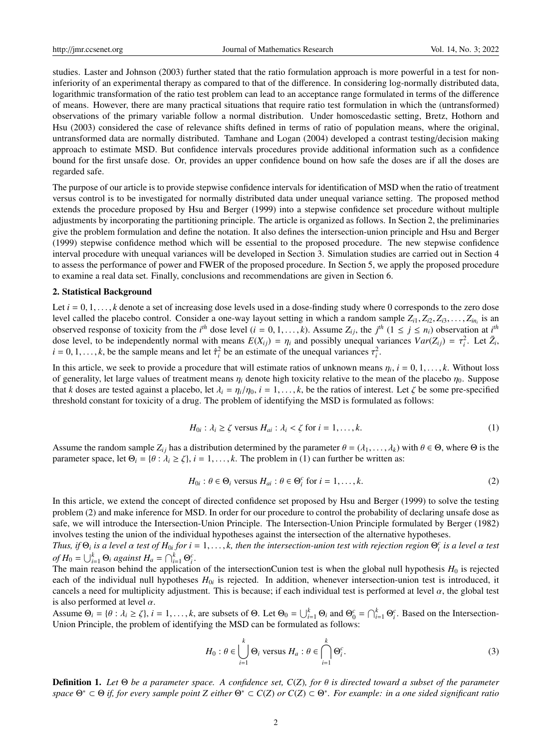studies. Laster and Johnson (2003) further stated that the ratio formulation approach is more powerful in a test for noninferiority of an experimental therapy as compared to that of the difference. In considering log-normally distributed data, logarithmic transformation of the ratio test problem can lead to an acceptance range formulated in terms of the difference of means. However, there are many practical situations that require ratio test formulation in which the (untransformed) observations of the primary variable follow a normal distribution. Under homoscedastic setting, Bretz, Hothorn and Hsu (2003) considered the case of relevance shifts defined in terms of ratio of population means, where the original, untransformed data are normally distributed. Tamhane and Logan (2004) developed a contrast testing/decision making approach to estimate MSD. But confidence intervals procedures provide additional information such as a confidence bound for the first unsafe dose. Or, provides an upper confidence bound on how safe the doses are if all the doses are regarded safe.

The purpose of our article is to provide stepwise confidence intervals for identification of MSD when the ratio of treatment versus control is to be investigated for normally distributed data under unequal variance setting. The proposed method extends the procedure proposed by Hsu and Berger (1999) into a stepwise confidence set procedure without multiple adjustments by incorporating the partitioning principle. The article is organized as follows. In Section 2, the preliminaries give the problem formulation and define the notation. It also defines the intersection-union principle and Hsu and Berger (1999) stepwise confidence method which will be essential to the proposed procedure. The new stepwise confidence interval procedure with unequal variances will be developed in Section 3. Simulation studies are carried out in Section 4 to assess the performance of power and FWER of the proposed procedure. In Section 5, we apply the proposed procedure to examine a real data set. Finally, conclusions and recommendations are given in Section 6.

#### 2. Statistical Background

Let  $i = 0, 1, \ldots, k$  denote a set of increasing dose levels used in a dose-finding study where 0 corresponds to the zero dose level called the placebo control. Consider a one-way layout setting in which a random sample  $Z_i_1, Z_i_2, Z_i_3, \ldots, Z_{in_i}$  is an observed response of toxicity from the *i*<sup>th</sup> dose level  $(i - 0, 1, \ldots, k)$ . Assume  $Z_i$ , the *i* observed response of toxicity from the *i*<sup>th</sup> dose level (*i* = 0, 1, ..., *k*). Assume  $Z_{ij}$ , the *j*<sup>th</sup> (1 ≤ *j* ≤ *n<sub>i</sub>*) observation at *i*<sup>th</sup> dose level to be independently normal with means  $F(X_i) = n_i$  and possibl dose level, to be independently normal with means  $E(X_{ij}) = \eta_i$  and possibly unequal variances  $Var(Z_{ij}) = \tau_i^2$ . Let  $\bar{Z}_i$ ,  $i = 0, 1, \dots, k$  be the sample means and let  $\hat{\tau}^2$  be an estimate of the unequal variances  $\tau^2$  $i = 0, 1, \dots, k$ , be the sample means and let  $\hat{\tau}_i^2$  be an estimate of the unequal variances  $\tau_i^2$ .

In this article, we seek to provide a procedure that will estimate ratios of unknown means  $\eta_i$ ,  $i = 0, 1, \ldots, k$ . Without loss of generality let large values of treatment means  $n_i$  denote high toxicity relative to the m of generality, let large values of treatment means  $\eta_i$  denote high toxicity relative to the mean of the placebo  $\eta_0$ . Suppose that *k* doses are tested against a placebo, let  $\lambda_i = \eta_i/\eta_0$ ,  $i = 1, \dots, k$ , be the ratios of interest. Let  $\zeta$  be some pre-specified threshold constant for toxicity of a drug. The problem of identifying the MSD is formulated as follows:

$$
H_{0i}: \lambda_i \ge \zeta \text{ versus } H_{ai}: \lambda_i < \zeta \text{ for } i = 1, \dots, k. \tag{1}
$$

Assume the random sample  $Z_i$  has a distribution determined by the parameter  $\theta = (\lambda_1, \dots, \lambda_k)$  with  $\theta \in \Theta$ , where  $\Theta$  is the parameter space, let  $\Theta_i = \{\theta : \lambda_i \ge \zeta\}, i = 1, \dots, k$ . The problem in (1) can further be written as:

$$
H_{0i}: \theta \in \Theta_i \text{ versus } H_{ai}: \theta \in \Theta_i^c \text{ for } i = 1, ..., k. \tag{2}
$$

In this article, we extend the concept of directed confidence set proposed by Hsu and Berger (1999) to solve the testing problem (2) and make inference for MSD. In order for our procedure to control the probability of declaring unsafe dose as safe, we will introduce the Intersection-Union Principle. The Intersection-Union Principle formulated by Berger (1982) involves testing the union of the individual hypotheses against the intersection of the alternative hypotheses.

*Thus, if*  $\Theta_i$  *is a level*  $\alpha$  *test of*  $H_{0i}$  *for i* = 1, ..., *k, then the intersection-union test with rejection region*  $\Theta_i^c$  *is a level*  $\alpha$  *test* of  $H_{\alpha} = \bigcup_{k=0}^{k} \Theta_k$  assignt  $H_{\alpha} = \bigcap_{k=0}^{k} \Theta_k^c$  $of H_0 = \bigcup_{i=1}^k \Theta_i$  *against*  $H_a = \bigcap_{i=1}^k \Theta_i^c$ .

The main reason behind the application of the intersectionCunion test is when the global null hypothesis  $H_0$  is rejected each of the individual null hypotheses  $H_{0i}$  is rejected. In addition, whenever intersection-union test is introduced, it cancels a need for multiplicity adjustment. This is because; if each individual test is performed at level  $\alpha$ , the global test is also performed at level  $\alpha$ .

Assume  $\Theta_i = \{\theta : \lambda_i \ge \zeta\}, i = 1, \ldots, k$ , are subsets of  $\Theta$ . Let  $\Theta_0 = \bigcup_{i=1}^k \Theta_i$  and  $\Theta_0^c = \bigcap_{i=1}^k \Theta_i^c$ . Based on the Intersection-Union Principle, the problem of identifying the MSD can be formulated as follows:

$$
H_0: \theta \in \bigcup_{i=1}^k \Theta_i \text{ versus } H_a: \theta \in \bigcap_{i=1}^k \Theta_i^c. \tag{3}
$$

Definition 1. *Let* <sup>Θ</sup> *be a parameter space. A confidence set, C*(*Z*)*, for* θ *is directed toward a subset of the parameter space* Θ <sup>∗</sup> ⊂ Θ *if, for every sample point Z either* Θ <sup>∗</sup> ⊂ *C*(*Z*) *or C*(*Z*) ⊂ Θ ∗ *. For example: in a one sided significant ratio*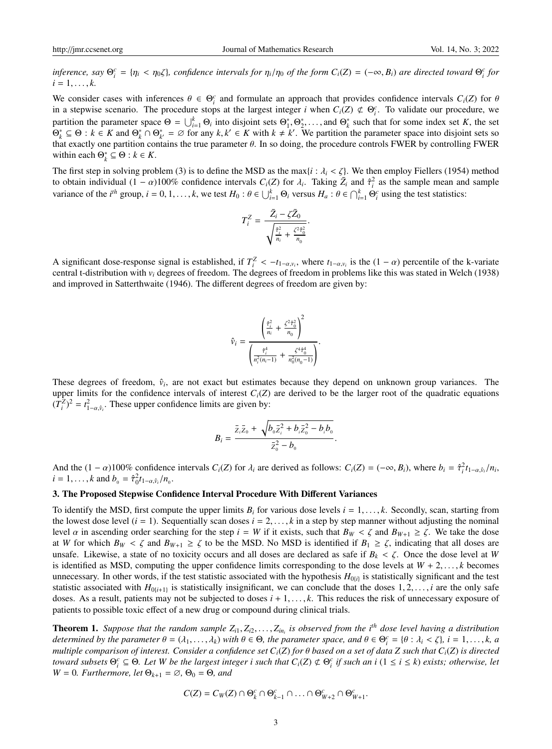inference, say  $\Theta_i^c = \{ \eta_i < \eta_0 \zeta \}$ , confidence intervals for  $\eta_i/\eta_0$  of the form  $C_i(Z) = (-\infty, B_i)$  are directed toward  $\Theta_i^c$  for  $i-1$  $i = 1, \ldots, k$ .

We consider cases with inferences  $\theta \in \Theta_i^c$  and formulate an approach that provides confidence intervals  $C_i(Z)$  for  $\theta$  is a step visite scenario. The procedure stops at the largest integer *i* when  $C_i(Z) \notin \Theta_i^c$ . To v in a stepwise scenario. The procedure stops at the largest integer *i* when  $C_i(Z) \notin \Theta_i^c$ . To validate our procedure, we partition the parameter space  $\Theta = \bigcup_{i=1}^{k} \Theta_i$  into disjoint sets  $\Theta_1^*, \Theta_2^*, \ldots$ , and  $\Theta_k^*$  such that for some index set *K*, the set  $\Theta_1^* \subset \Theta : k \in K$  and  $\Theta_1^* \subset \Theta_1^* = \emptyset$  for any  $k \mid k' \in K$  with  $k \neq k'$ . We  $\Theta_k^* \subseteq \Theta : k \in K$  and  $\Theta_k^* \cap \Theta_{k'}^* = \emptyset$  for any  $k, k' \in K$  with  $k \neq k'$ . We partition the parameter space into disjoint sets so that exactly one partition contains the true parameter  $\theta$ . In so doing, the procedure con that exactly one partition contains the true parameter  $\theta$ . In so doing, the procedure controls FWER by controlling FWER within each  $\Theta_k^* \subseteq \Theta : k \in K$ .

The first step in solving problem (3) is to define the MSD as the max $\{i : \lambda_i < \zeta\}$ . We then employ Fiellers (1954) method to obtain individual  $(1 - \alpha)100\%$  confidence intervals  $C_i(Z)$  for  $\lambda_i$ . Taking  $\bar{Z}_i$  and  $\hat{\tau}_i^2$  as the sample mean and sample variance of the *i*<sup>th</sup> group  $i = 0, 1, \ldots, k$  we test  $H_i : \theta \in [k]$ .  $\Theta$  versus  $H_i : \theta$ variance of the  $i^{th}$  group,  $i = 0, 1, ..., k$ , we test  $H_0: \theta \in \bigcup_{i=1}^k \Theta_i$  versus  $H_a: \theta \in \bigcap_{i=1}^k \Theta_i^c$  using the test statistics:

$$
T_i^Z = \frac{\bar{Z}_i - \zeta \bar{Z}_0}{\sqrt{\frac{\hat{\tau}_i^2}{n_i} + \frac{\zeta^2 \hat{\tau}_0^2}{n_0}}}
$$

A significant dose-response signal is established, if  $T_i^Z < -t_{1-\alpha,v_i}$ , where  $t_{1-\alpha,v_i}$  is the  $(1-\alpha)$  percentile of the k-variate central t-distribution with v. degrees of freedom. The degrees of freedom in problems lik central t-distribution with  $v_i$  degrees of freedom. The degrees of freedom in problems like this was stated in Welch (1938) and improved in Satterthwaite (1946). The different degrees of freedom are given by:

$$
\hat{\nu}_i = \frac{\left(\frac{\hat{\tau}_i^2}{n_i} + \frac{\zeta^2 \hat{\tau}_0^2}{n_0}\right)^2}{\left(\frac{\hat{\tau}_i^4}{n_i^2(n_i-1)} + \frac{\zeta^4 \hat{\tau}_0^4}{n_0^2(n_0-1)}\right)}.
$$

These degrees of freedom,  $\hat{v}_i$ , are not exact but estimates because they depend on unknown group variances. The upper limits for the confidence intervals of interest  $C_i(Z)$  are derived to be the larger root of the quadratic equations  $(T_i^Z)^2 = t_{1-\alpha,\hat{v}_i}^2$ . These upper confidence limits are given by:

$$
B_i = \frac{\bar{z}_i \bar{z}_0 + \sqrt{b_0 \bar{z}_i^2 + b_i \bar{z}_0^2 - b_i b_0}}{\bar{z}_0^2 - b_0}
$$

And the  $(1 - \alpha)100\%$  confidence intervals  $C_i(Z)$  for  $\lambda_i$  are derived as follows:  $C_i(Z) = (-\infty, B_i)$ , where  $b_i = \hat{\tau}_i^2 t_{1-\alpha,\hat{v}_i}/n_i$ ,  $i = 1$  k and  $b_i = \hat{\tau}_i^2 t_{i-\alpha,\hat{v}_i}/n_i$  $i = 1, ..., k$  and  $b_0 = \hat{\tau}_0^2 t_{1-\alpha, \hat{v}_i}/n_0$ .

## 3. The Proposed Stepwise Confidence Interval Procedure With Different Variances

To identify the MSD, first compute the upper limits  $B_i$  for various dose levels  $i = 1, \ldots, k$ . Secondly, scan, starting from the lowest dose level  $(i = 1)$ . Sequentially scan doses  $i = 2, \ldots, k$  in a step by step manner without adjusting the nominal level  $\alpha$  in ascending order searching for the step  $i = W$  if it exists, such that  $B_W < \zeta$  and  $B_{W+1} \ge \zeta$ . We take the dose at *W* for which  $B_W < \zeta$  and  $B_{W+1} \ge \zeta$  to be the MSD. No MSD is identified if  $B_1 \ge \zeta$ , indicating that all doses are unsafe. Likewise, a state of no toxicity occurs and all doses are declared as safe if  $B_k < \zeta$ . Once the dose level at *W* is identified as MSD, computing the upper confidence limits corresponding to the dose levels at  $W + 2, \ldots, k$  becomes unnecessary. In other words, if the test statistic associated with the hypothesis  $H_{0(i)}$  is statistically significant and the test statistic associated with  $H_{0(i+1)}$  is statistically insignificant, we can conclude that the doses 1, 2, ..., *i* are the only safe doses. As a result, patients may not be subjected to doses  $i + 1, \ldots, k$ . This reduces the risk of unnecessary exposure of patients to possible toxic effect of a new drug or compound during clinical trials.

**Theorem 1.** Suppose that the random sample  $Z_{i1}, Z_{i2}, \ldots, Z_{in_i}$  is observed from the i<sup>th</sup> dose level having a distribution determined by the parameter  $\theta = (1, \ldots, \ldots)$  with  $\theta \in \Theta$  the parameter space and  $\theta \in \Theta^c = \{$ *determined by the parameter*  $\theta = (\lambda_1, \dots, \lambda_k)$  *with*  $\theta \in \Theta$ *, the parameter space, and*  $\theta \in \Theta_i^c = {\theta : \lambda_i < \zeta}, i = 1, \dots, k, a$ <br>multiple comparison of interest. Consider a confidence set C.(7) for  $\theta$  based on a set of da *multiple comparison of interest. Consider a confidence set Ci*(*Z*) *for* θ *based on a set of data Z such that Ci*(*Z*) *is directed toward subsets*  $\Theta_i^c \subseteq \Theta$ . Let W be the largest integer i such that  $C_i(Z) \not\subset \Theta_i^c$  if such an i  $(1 \le i \le k)$  exists; otherwise, let  $W = 0$ *. Furthermore, let*  $\Theta_{k+1} = \emptyset$ *,*  $\Theta_0 = \Theta$ *, and* 

$$
C(Z) = C_W(Z) \cap \Theta_k^c \cap \Theta_{k-1}^c \cap \ldots \cap \Theta_{W+2}^c \cap \Theta_{W+1}^c.
$$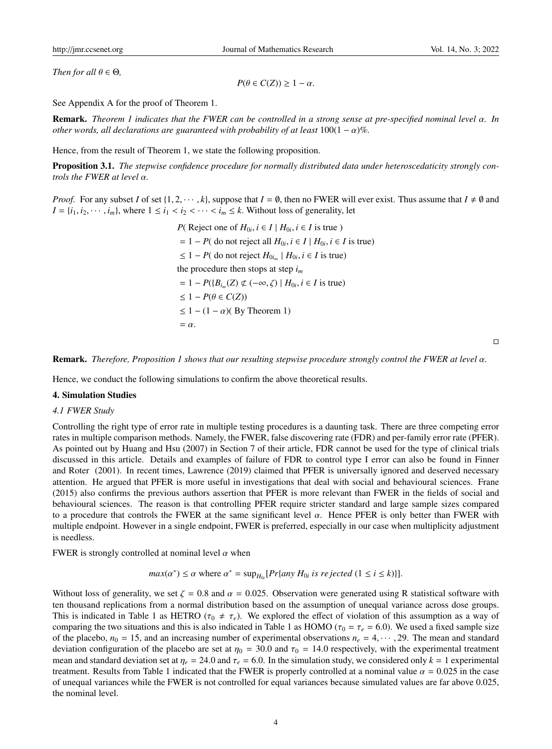*Then for all*  $\theta \in \Theta$ *,* 

 $P(\theta \in C(Z)) \geq 1 - \alpha$ .

See Appendix A for the proof of Theorem 1.

Remark. *Theorem 1 indicates that the FWER can be controlled in a strong sense at pre-specified nominal level* α*. In other words, all declarations are guaranteed with probability of at least*  $100(1 - \alpha)\%$ .

Hence, from the result of Theorem 1, we state the following proposition.

Proposition 3.1. *The stepwise confidence procedure for normally distributed data under heteroscedaticity strongly controls the FWER at level* α*.*

*Proof.* For any subset *I* of set  $\{1, 2, \dots, k\}$ , suppose that  $I = \emptyset$ , then no FWER will ever exist. Thus assume that  $I \neq \emptyset$  and  $I = \{i_1, i_2, \dots, i_m\}$ , where  $1 \leq i_1 < i_2 < \dots < i_m \leq k$ . Without loss of generality, let

> *P*( Reject one of  $H_{0i}$ ,  $i \in I \mid H_{0i}$ ,  $i \in I$  is true )  $= 1 - P$ ( do not reject all  $H_{0i}$ ,  $i \in I \mid H_{0i}$ ,  $i \in I$  is true) ≤ 1 − *P*( do not reject *H*0*i<sup>m</sup>* | *H*0*<sup>i</sup>* , *<sup>i</sup>* <sup>∈</sup> *<sup>I</sup>* is true) the procedure then stops at step *i<sup>m</sup>*  $= 1 - P({B_{i_m}(Z) \not\subset (-\infty, \zeta) \mid H_{0i}, i \in I \text{ is true})$  $< 1 - P(\theta \in C(Z))$  $\leq 1 - (1 - \alpha)$ (By Theorem 1)  $= \alpha$ .

> > $\Box$

Remark. *Therefore, Proposition 1 shows that our resulting stepwise procedure strongly control the FWER at level* α*.*

Hence, we conduct the following simulations to confirm the above theoretical results.

#### 4. Simulation Studies

## *4.1 FWER Study*

Controlling the right type of error rate in multiple testing procedures is a daunting task. There are three competing error rates in multiple comparison methods. Namely, the FWER, false discovering rate (FDR) and per-family error rate (PFER). As pointed out by Huang and Hsu (2007) in Section 7 of their article, FDR cannot be used for the type of clinical trials discussed in this article. Details and examples of failure of FDR to control type I error can also be found in Finner and Roter (2001). In recent times, Lawrence (2019) claimed that PFER is universally ignored and deserved necessary attention. He argued that PFER is more useful in investigations that deal with social and behavioural sciences. Frane (2015) also confirms the previous authors assertion that PFER is more relevant than FWER in the fields of social and behavioural sciences. The reason is that controlling PFER require stricter standard and large sample sizes compared to a procedure that controls the FWER at the same significant level α. Hence PFER is only better than FWER with multiple endpoint. However in a single endpoint, FWER is preferred, especially in our case when multiplicity adjustment is needless.

FWER is strongly controlled at nominal level  $\alpha$  when

 $max(\alpha^*) \le \alpha$  where  $\alpha^* = \sup_{H_{0i}} [Pr\{ \text{any } H_{0i} \text{ is rejected } (1 \le i \le k) \}].$ 

Without loss of generality, we set  $\zeta = 0.8$  and  $\alpha = 0.025$ . Observation were generated using R statistical software with ten thousand replications from a normal distribution based on the assumption of unequal variance across dose groups. This is indicated in Table 1 as HETRO ( $\tau_0 \neq \tau_e$ ). We explored the effect of violation of this assumption as a way of comparing the two situations and this is also indicated in Table 1 as HOMO ( $\tau_0 = \tau_e = 6.0$ ). We used a fixed sample size of the placebo,  $n_0 = 15$ , and an increasing number of experimental observations  $n_e = 4, \dots, 29$ . The mean and standard deviation configuration of the placebo are set at  $\eta_0 = 30.0$  and  $\tau_0 = 14.0$  respectively, with the experimental treatment mean and standard deviation set at  $\eta_e = 24.0$  and  $\tau_e = 6.0$ . In the simulation study, we considered only  $k = 1$  experimental treatment. Results from Table 1 indicated that the FWER is properly controlled at a nominal value  $\alpha = 0.025$  in the case of unequal variances while the FWER is not controlled for equal variances because simulated values are far above 0.025, the nominal level.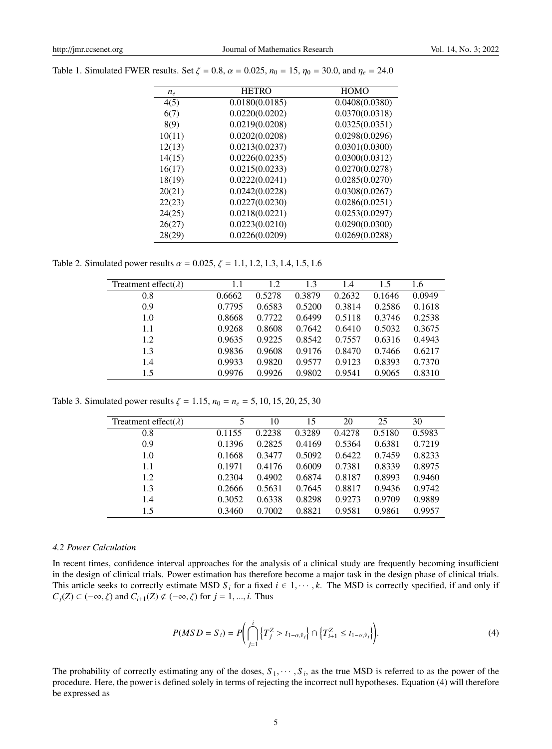| $n_e$  | <b>HETRO</b>   | <b>HOMO</b>    |
|--------|----------------|----------------|
| 4(5)   | 0.0180(0.0185) | 0.0408(0.0380) |
| 6(7)   | 0.0220(0.0202) | 0.0370(0.0318) |
| 8(9)   | 0.0219(0.0208) | 0.0325(0.0351) |
| 10(11) | 0.0202(0.0208) | 0.0298(0.0296) |
| 12(13) | 0.0213(0.0237) | 0.0301(0.0300) |
| 14(15) | 0.0226(0.0235) | 0.0300(0.0312) |
| 16(17) | 0.0215(0.0233) | 0.0270(0.0278) |
| 18(19) | 0.0222(0.0241) | 0.0285(0.0270) |
| 20(21) | 0.0242(0.0228) | 0.0308(0.0267) |
| 22(23) | 0.0227(0.0230) | 0.0286(0.0251) |
| 24(25) | 0.0218(0.0221) | 0.0253(0.0297) |
| 26(27) | 0.0223(0.0210) | 0.0290(0.0300) |
| 28(29) | 0.0226(0.0209) | 0.0269(0.0288) |
|        |                |                |

Table 1. Simulated FWER results. Set  $\zeta = 0.8$ ,  $\alpha = 0.025$ ,  $n_0 = 15$ ,  $\eta_0 = 30.0$ , and  $\eta_e = 24.0$ 

Table 2. Simulated power results  $\alpha = 0.025$ ,  $\zeta = 1.1, 1.2, 1.3, 1.4, 1.5, 1.6$ 

| Treatment effect( $\lambda$ ) | 1.1    | 1.2    | 1.3    | 1.4    | 1.5    | 1.6    |
|-------------------------------|--------|--------|--------|--------|--------|--------|
| 0.8                           | 0.6662 | 0.5278 | 0.3879 | 0.2632 | 0.1646 | 0.0949 |
| 0.9                           | 0.7795 | 0.6583 | 0.5200 | 0.3814 | 0.2586 | 0.1618 |
| 1.0                           | 0.8668 | 0.7722 | 0.6499 | 0.5118 | 0.3746 | 0.2538 |
| 1.1                           | 0.9268 | 0.8608 | 0.7642 | 0.6410 | 0.5032 | 0.3675 |
| 1.2                           | 0.9635 | 0.9225 | 0.8542 | 0.7557 | 0.6316 | 0.4943 |
| 1.3                           | 0.9836 | 0.9608 | 0.9176 | 0.8470 | 0.7466 | 0.6217 |
| 1.4                           | 0.9933 | 0.9820 | 0.9577 | 0.9123 | 0.8393 | 0.7370 |
| 1.5                           | 0.9976 | 0.9926 | 0.9802 | 0.9541 | 0.9065 | 0.8310 |

Table 3. Simulated power results  $\zeta = 1.15$ ,  $n_0 = n_e = 5$ , 10, 15, 20, 25, 30

| Treatment effect( $\lambda$ ) | 5      | 10     | 15     | 20     | 25     | 30     |
|-------------------------------|--------|--------|--------|--------|--------|--------|
| 0.8                           | 0.1155 | 0.2238 | 0.3289 | 0.4278 | 0.5180 | 0.5983 |
| 0.9                           | 0.1396 | 0.2825 | 0.4169 | 0.5364 | 0.6381 | 0.7219 |
| 1.0                           | 0.1668 | 0.3477 | 0.5092 | 0.6422 | 0.7459 | 0.8233 |
| 1.1                           | 0.1971 | 0.4176 | 0.6009 | 0.7381 | 0.8339 | 0.8975 |
| 1.2                           | 0.2304 | 0.4902 | 0.6874 | 0.8187 | 0.8993 | 0.9460 |
| 1.3                           | 0.2666 | 0.5631 | 0.7645 | 0.8817 | 0.9436 | 0.9742 |
| 1.4                           | 0.3052 | 0.6338 | 0.8298 | 0.9273 | 0.9709 | 0.9889 |
| 1.5                           | 0.3460 | 0.7002 | 0.8821 | 0.9581 | 0.9861 | 0.9957 |

## *4.2 Power Calculation*

In recent times, confidence interval approaches for the analysis of a clinical study are frequently becoming insufficient in the design of clinical trials. Power estimation has therefore become a major task in the design phase of clinical trials. This article seeks to correctly estimate MSD  $S_i$  for a fixed  $i \in 1, \dots, k$ . The MSD is correctly specified, if and only if  $C_j(Z) \subset (-\infty, \zeta)$  and  $C_{i+1}(Z) \not\subset (-\infty, \zeta)$  for  $j = 1, ..., i$ . Thus

$$
P(MSD = S_i) = P\left(\bigcap_{j=1}^{i} \left\{T_j^Z > t_{1-\alpha,\hat{v}_j}\right\} \cap \left\{T_{i+1}^Z \le t_{1-\alpha,\hat{v}_j}\right\}\right).
$$
\n(4)

The probability of correctly estimating any of the doses,  $S_1, \dots, S_i$ , as the true MSD is referred to as the power of the power is defined solely in terms of rejecting the incorrect null hypotheses. Faustion (4) will ther procedure. Here, the power is defined solely in terms of rejecting the incorrect null hypotheses. Equation (4) will therefore be expressed as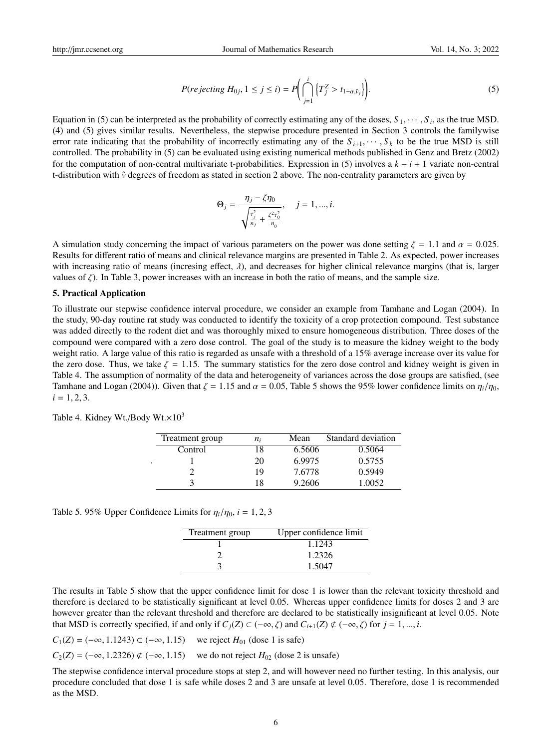$$
P(rejecting H_{0j}, 1 \le j \le i) = P\bigg(\bigcap_{j=1}^{i} \left\{T_j^Z > t_{1-\alpha,\hat{\nu}_j}\right\}\bigg). \tag{5}
$$

Equation in (5) can be interpreted as the probability of correctly estimating any of the doses,  $S_1, \dots, S_i$ , as the true MSD.<br>(4) and (5) gives similar results. Nevertheless, the stepwise procedure presented in Section 3 (4) and (5) gives similar results. Nevertheless, the stepwise procedure presented in Section 3 controls the familywise error rate indicating that the probability of incorrectly estimating any of the  $S_{i+1}, \dots, S_k$  to be the true MSD is still controlled. The probability in (5) can be evaluated using existing numerical methods published in Genz and Bretz (2002) for the computation of non-central multivariate t-probabilities. Expression in (5) involves a *k* − *i* + 1 variate non-central t-distribution with  $\hat{v}$  degrees of freedom as stated in section 2 above. The non-centrality parameters are given by

$$
\Theta_j = \frac{\eta_j - \zeta \eta_0}{\sqrt{\frac{\tau_j^2}{n_j} + \frac{\zeta^2 \tau_0^2}{n_0}}}, \quad j = 1, ..., i.
$$

A simulation study concerning the impact of various parameters on the power was done setting  $\zeta = 1.1$  and  $\alpha = 0.025$ . Results for different ratio of means and clinical relevance margins are presented in Table 2. As expected, power increases with increasing ratio of means (incresing effect,  $\lambda$ ), and decreases for higher clinical relevance margins (that is, larger values of  $\zeta$ ). In Table 3, power increases with an increase in both the ratio of means, and the sample size.

## 5. Practical Application

To illustrate our stepwise confidence interval procedure, we consider an example from Tamhane and Logan (2004). In the study, 90-day routine rat study was conducted to identify the toxicity of a crop protection compound. Test substance was added directly to the rodent diet and was thoroughly mixed to ensure homogeneous distribution. Three doses of the compound were compared with a zero dose control. The goal of the study is to measure the kidney weight to the body weight ratio. A large value of this ratio is regarded as unsafe with a threshold of a 15% average increase over its value for the zero dose. Thus, we take  $\zeta = 1.15$ . The summary statistics for the zero dose control and kidney weight is given in Table 4. The assumption of normality of the data and heterogeneity of variances across the dose groups are satisfied, (see Tamhane and Logan (2004)). Given that  $\zeta = 1.15$  and  $\alpha = 0.05$ , Table 5 shows the 95% lower confidence limits on  $\eta_i/\eta_0$ ,  $i = 1, 2, 3$ .

| Treatment group | $n_i$ | Mean   | Standard deviation |
|-----------------|-------|--------|--------------------|
| Control         | 18    | 6.5606 | 0.5064             |
|                 | 20    | 6.9975 | 0.5755             |
|                 | 19    | 7.6778 | 0.5949             |
|                 | 18    | 9.2606 | 1.0052             |

Table 4. Kidney Wt./Body Wt. $\times 10^3$ 

Table 5. 95% Upper Confidence Limits for  $\eta_i/\eta_0$ ,  $i = 1, 2, 3$ 

| Treatment group | Upper confidence limit |
|-----------------|------------------------|
|                 | 1.1243                 |
|                 | 1.2326                 |
|                 | 1.5047                 |

The results in Table 5 show that the upper confidence limit for dose 1 is lower than the relevant toxicity threshold and therefore is declared to be statistically significant at level 0.05. Whereas upper confidence limits for doses 2 and 3 are however greater than the relevant threshold and therefore are declared to be statistically insignificant at level 0.05. Note that MSD is correctly specified, if and only if  $C_j(Z) \subset (-\infty, \zeta)$  and  $C_{i+1}(Z) \not\subset (-\infty, \zeta)$  for  $j = 1, ..., i$ .

$$
C_1(Z) = (-\infty, 1.1243) \subset (-\infty, 1.15)
$$
 we reject  $H_{01}$  (dose 1 is safe)

$$
C_2(Z) = (-\infty, 1.2326) \not\subset (-\infty, 1.15) \quad \text{we do not reject } H_{02} \text{ (dose 2 is unsafe)}
$$

The stepwise confidence interval procedure stops at step 2, and will however need no further testing. In this analysis, our procedure concluded that dose 1 is safe while doses 2 and 3 are unsafe at level 0.05. Therefore, dose 1 is recommended as the MSD.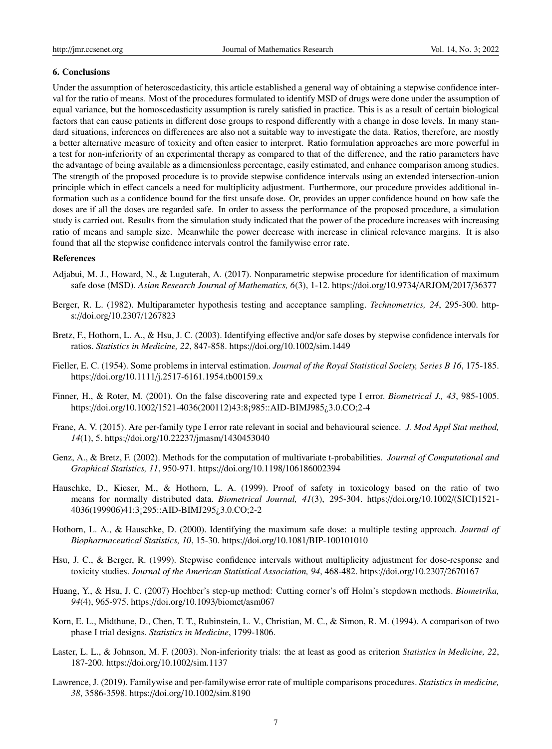## 6. Conclusions

Under the assumption of heteroscedasticity, this article established a general way of obtaining a stepwise confidence interval for the ratio of means. Most of the procedures formulated to identify MSD of drugs were done under the assumption of equal variance, but the homoscedasticity assumption is rarely satisfied in practice. This is as a result of certain biological factors that can cause patients in different dose groups to respond differently with a change in dose levels. In many standard situations, inferences on differences are also not a suitable way to investigate the data. Ratios, therefore, are mostly a better alternative measure of toxicity and often easier to interpret. Ratio formulation approaches are more powerful in a test for non-inferiority of an experimental therapy as compared to that of the difference, and the ratio parameters have the advantage of being available as a dimensionless percentage, easily estimated, and enhance comparison among studies. The strength of the proposed procedure is to provide stepwise confidence intervals using an extended intersection-union principle which in effect cancels a need for multiplicity adjustment. Furthermore, our procedure provides additional information such as a confidence bound for the first unsafe dose. Or, provides an upper confidence bound on how safe the doses are if all the doses are regarded safe. In order to assess the performance of the proposed procedure, a simulation study is carried out. Results from the simulation study indicated that the power of the procedure increases with increasing ratio of means and sample size. Meanwhile the power decrease with increase in clinical relevance margins. It is also found that all the stepwise confidence intervals control the familywise error rate.

#### References

- Adjabui, M. J., Howard, N., & Luguterah, A. (2017). Nonparametric stepwise procedure for identification of maximum safe dose (MSD). *Asian Research Journal of Mathematics, 6*(3), 1-12. https://doi.org/10.9734/ARJOM/2017/36377
- Berger, R. L. (1982). Multiparameter hypothesis testing and acceptance sampling. *Technometrics, 24*, 295-300. https://doi.org/10.2307/1267823
- Bretz, F., Hothorn, L. A., & Hsu, J. C. (2003). Identifying effective and/or safe doses by stepwise confidence intervals for ratios. *Statistics in Medicine, 22*, 847-858. https://doi.org/10.1002/sim.1449
- Fieller, E. C. (1954). Some problems in interval estimation. *Journal of the Royal Statistical Society, Series B 16*, 175-185. https://doi.org/10.1111/j.2517-6161.1954.tb00159.x
- Finner, H., & Roter, M. (2001). On the false discovering rate and expected type I error. *Biometrical J., 43*, 985-1005. https://doi.org/10.1002/1521-4036(200112)43:8¡985::AID-BIMJ985¿3.0.CO;2-4
- Frane, A. V. (2015). Are per-family type I error rate relevant in social and behavioural science. *J. Mod Appl Stat method, 14*(1), 5. https://doi.org/10.22237/jmasm/1430453040
- Genz, A., & Bretz, F. (2002). Methods for the computation of multivariate t-probabilities. *Journal of Computational and Graphical Statistics, 11*, 950-971. https://doi.org/10.1198/106186002394
- Hauschke, D., Kieser, M., & Hothorn, L. A. (1999). Proof of safety in toxicology based on the ratio of two means for normally distributed data. *Biometrical Journal, 41*(3), 295-304. https://doi.org/10.1002/(SICI)1521- 4036(199906)41:3¡295::AID-BIMJ295¿3.0.CO;2-2
- Hothorn, L. A., & Hauschke, D. (2000). Identifying the maximum safe dose: a multiple testing approach. *Journal of Biopharmaceutical Statistics, 10*, 15-30. https://doi.org/10.1081/BIP-100101010
- Hsu, J. C., & Berger, R. (1999). Stepwise confidence intervals without multiplicity adjustment for dose-response and toxicity studies. *Journal of the American Statistical Association, 94*, 468-482. https://doi.org/10.2307/2670167
- Huang, Y., & Hsu, J. C. (2007) Hochber's step-up method: Cutting corner's off Holm's stepdown methods. *Biometrika, 94*(4), 965-975. https://doi.org/10.1093/biomet/asm067
- Korn, E. L., Midthune, D., Chen, T. T., Rubinstein, L. V., Christian, M. C., & Simon, R. M. (1994). A comparison of two phase I trial designs. *Statistics in Medicine*, 1799-1806.
- Laster, L. L., & Johnson, M. F. (2003). Non-inferiority trials: the at least as good as criterion *Statistics in Medicine, 22*, 187-200. https://doi.org/10.1002/sim.1137
- Lawrence, J. (2019). Familywise and per-familywise error rate of multiple comparisons procedures. *Statistics in medicine, 38*, 3586-3598. https://doi.org/10.1002/sim.8190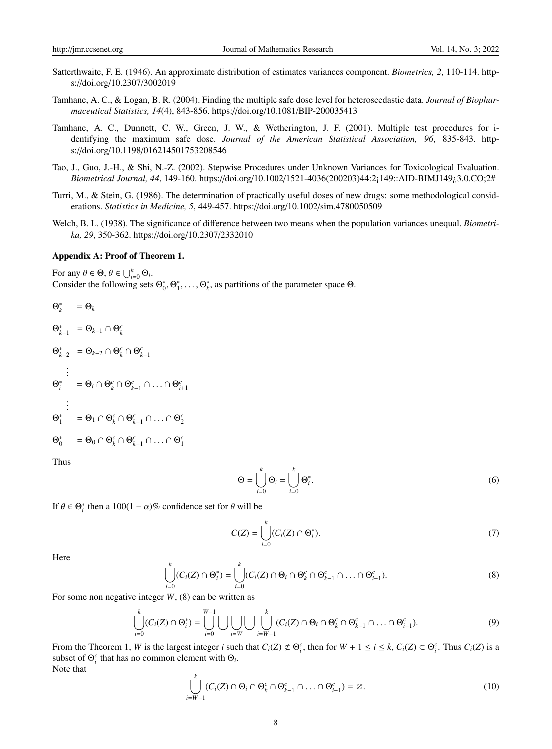- Satterthwaite, F. E. (1946). An approximate distribution of estimates variances component. *Biometrics, 2*, 110-114. https://doi.org/10.2307/3002019
- Tamhane, A. C., & Logan, B. R. (2004). Finding the multiple safe dose level for heteroscedastic data. *Journal of Biopharmaceutical Statistics, 14*(4), 843-856. https://doi.org/10.1081/BIP-200035413
- Tamhane, A. C., Dunnett, C. W., Green, J. W., & Wetherington, J. F. (2001). Multiple test procedures for identifying the maximum safe dose. *Journal of the American Statistical Association, 96*, 835-843. https://doi.org/10.1198/016214501753208546
- Tao, J., Guo, J.-H., & Shi, N.-Z. (2002). Stepwise Procedures under Unknown Variances for Toxicological Evaluation. *Biometrical Journal, 44*, 149-160. https://doi.org/10.1002/1521-4036(200203)44:2¡149::AID-BIMJ149¿3.0.CO;2#
- Turri, M., & Stein, G. (1986). The determination of practically useful doses of new drugs: some methodological considerations. *Statistics in Medicine, 5*, 449-457. https://doi.org/10.1002/sim.4780050509
- Welch, B. L. (1938). The significance of difference between two means when the population variances unequal. *Biometrika, 29*, 350-362. https://doi.org/10.2307/2332010

#### Appendix A: Proof of Theorem 1.

For any  $\theta \in \Theta$ ,  $\theta \in \bigcup_{i=0}^{k} \Theta_i$ .<br>Consider the following sets Consider the following sets  $\Theta_0^*, \Theta_1^*, \dots, \Theta_k^*$ , as partitions of the parameter space  $\Theta$ .

*c i*+1

*c* 2

*c* 1

$$
\Theta_k^* = \Theta_k
$$
\n
$$
\Theta_{k-1}^* = \Theta_{k-1} \cap \Theta_k^c
$$
\n
$$
\Theta_{k-2}^* = \Theta_{k-2} \cap \Theta_k^c \cap \Theta_{k-1}^c
$$
\n
$$
\vdots
$$
\n
$$
\Theta_i^* = \Theta_i \cap \Theta_k^c \cap \Theta_{k-1}^c \cap \dots \cap \Theta_i^c
$$
\n
$$
\vdots
$$
\n
$$
\Theta_1^* = \Theta_1 \cap \Theta_k^c \cap \Theta_{k-1}^c \cap \dots \cap \Theta
$$
\n
$$
\Theta_0^* = \Theta_0 \cap \Theta_k^c \cap \Theta_{k-1}^c \cap \dots \cap \Theta
$$

Thus

$$
\Theta = \bigcup_{i=0}^{k} \Theta_i = \bigcup_{i=0}^{k} \Theta_i^*.
$$
\n(6)

If  $\theta \in \Theta_i^*$  then a 100(1 –  $\alpha$ )% confidence set for  $\theta$  will be

$$
C(Z) = \bigcup_{i=0}^{k} (C_i(Z) \cap \Theta_i^*).
$$
 (7)

Here

$$
\bigcup_{i=0}^k (C_i(Z) \cap \Theta_i^*) = \bigcup_{i=0}^k (C_i(Z) \cap \Theta_i \cap \Theta_k^c \cap \Theta_{k-1}^c \cap \ldots \cap \Theta_{i+1}^c).
$$
 (8)

For some non negative integer *W*, (8) can be written as

$$
\bigcup_{i=0}^k (C_i(Z) \cap \Theta_i^*) = \bigcup_{i=0}^{W-1} \bigcup \bigcup_{i=W} \bigcup \bigcup_{i=W+1}^k (C_i(Z) \cap \Theta_i \cap \Theta_k^c \cap \Theta_{k-1}^c \cap \ldots \cap \Theta_{i+1}^c).
$$
(9)

From the Theorem 1, W is the largest integer i such that  $C_i(Z) \not\subset \Theta_i^c$ , then for  $W + 1 \le i \le k$ ,  $C_i(Z) \subset \Theta_i^c$ . Thus  $C_i(Z)$  is a subset of  $\Theta_i^c$  that has no common element with  $\Theta_i$ . Note that

$$
\bigcup_{i=W+1}^{k} (C_i(Z) \cap \Theta_i \cap \Theta_k^c \cap \Theta_{k-1}^c \cap \ldots \cap \Theta_{i+1}^c) = \varnothing.
$$
 (10)